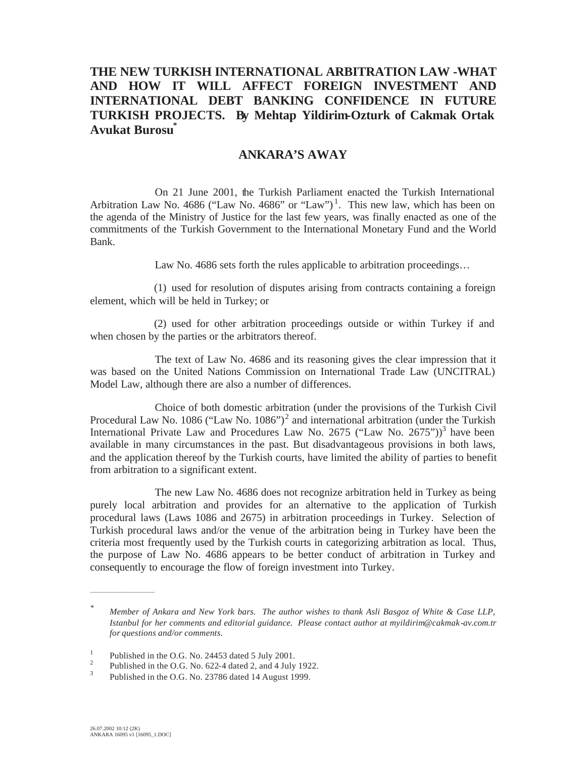## **THE NEW TURKISH INTERNATIONAL ARBITRATION LAW -WHAT AND HOW IT WILL AFFECT FOREIGN INVESTMENT AND INTERNATIONAL DEBT BANKING CONFIDENCE IN FUTURE TURKISH PROJECTS. By Mehtap Yildirim-Ozturk of Cakmak Ortak Avukat Burosu\***

## **ANKARA'S AWAY**

On 21 June 2001, the Turkish Parliament enacted the Turkish International Arbitration Law No. 4686 ("Law No. 4686" or "Law")<sup>1</sup>. This new law, which has been on the agenda of the Ministry of Justice for the last few years, was finally enacted as one of the commitments of the Turkish Government to the International Monetary Fund and the World Bank.

Law No. 4686 sets forth the rules applicable to arbitration proceedings…

(1) used for resolution of disputes arising from contracts containing a foreign element, which will be held in Turkey; or

(2) used for other arbitration proceedings outside or within Turkey if and when chosen by the parties or the arbitrators thereof.

The text of Law No. 4686 and its reasoning gives the clear impression that it was based on the United Nations Commission on International Trade Law (UNCITRAL) Model Law, although there are also a number of differences.

Choice of both domestic arbitration (under the provisions of the Turkish Civil Procedural Law No. 1086 ("Law No. 1086")<sup>2</sup> and international arbitration (under the Turkish International Private Law and Procedures Law No. 2675 ("Law No. 2675"))<sup>3</sup> have been available in many circumstances in the past. But disadvantageous provisions in both laws, and the application thereof by the Turkish courts, have limited the ability of parties to benefit from arbitration to a significant extent.

The new Law No. 4686 does not recognize arbitration held in Turkey as being purely local arbitration and provides for an alternative to the application of Turkish procedural laws (Laws 1086 and 2675) in arbitration proceedings in Turkey. Selection of Turkish procedural laws and/or the venue of the arbitration being in Turkey have been the criteria most frequently used by the Turkish courts in categorizing arbitration as local. Thus, the purpose of Law No. 4686 appears to be better conduct of arbitration in Turkey and consequently to encourage the flow of foreign investment into Turkey.

\_\_\_\_\_\_\_\_\_\_\_\_\_\_\_\_\_\_\_\_\_\_\_\_

*<sup>\*</sup> Member of Ankara and New York bars. The author wishes to thank Asli Basgoz of White & Case LLP, Istanbul for her comments and editorial guidance. Please contact author at myildirim@cakmak-av.com.tr for questions and/or comments.*

<sup>&</sup>lt;sup>1</sup> Published in the O.G. No. 24453 dated 5 July 2001.<br><sup>2</sup> Published in the O.G. No. 622-4 dated 2, and 4 July 1922.<br><sup>3</sup> Published in the O.G. No. 22796 dated 14 Append 1000.

Published in the O.G. No. 23786 dated 14 August 1999.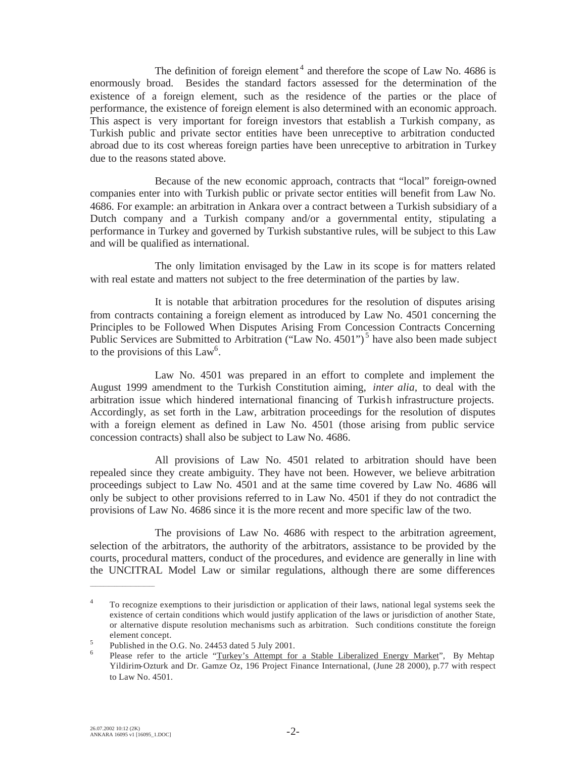The definition of foreign element<sup>4</sup> and therefore the scope of Law No. 4686 is enormously broad. Besides the standard factors assessed for the determination of the existence of a foreign element, such as the residence of the parties or the place of performance, the existence of foreign element is also determined with an economic approach. This aspect is very important for foreign investors that establish a Turkish company, as Turkish public and private sector entities have been unreceptive to arbitration conducted abroad due to its cost whereas foreign parties have been unreceptive to arbitration in Turkey due to the reasons stated above.

Because of the new economic approach, contracts that "local" foreign-owned companies enter into with Turkish public or private sector entities will benefit from Law No. 4686. For example: an arbitration in Ankara over a contract between a Turkish subsidiary of a Dutch company and a Turkish company and/or a governmental entity, stipulating a performance in Turkey and governed by Turkish substantive rules, will be subject to this Law and will be qualified as international.

The only limitation envisaged by the Law in its scope is for matters related with real estate and matters not subject to the free determination of the parties by law.

It is notable that arbitration procedures for the resolution of disputes arising from contracts containing a foreign element as introduced by Law No. 4501 concerning the Principles to be Followed When Disputes Arising From Concession Contracts Concerning Public Services are Submitted to Arbitration ("Law No. 4501")<sup>5</sup> have also been made subject to the provisions of this  $Law<sup>6</sup>$ .

Law No. 4501 was prepared in an effort to complete and implement the August 1999 amendment to the Turkish Constitution aiming, *inter alia,* to deal with the arbitration issue which hindered international financing of Turkish infrastructure projects. Accordingly, as set forth in the Law, arbitration proceedings for the resolution of disputes with a foreign element as defined in Law No. 4501 (those arising from public service concession contracts) shall also be subject to Law No. 4686.

All provisions of Law No. 4501 related to arbitration should have been repealed since they create ambiguity. They have not been. However, we believe arbitration proceedings subject to Law No. 4501 and at the same time covered by Law No. 4686 will only be subject to other provisions referred to in Law No. 4501 if they do not contradict the provisions of Law No. 4686 since it is the more recent and more specific law of the two.

The provisions of Law No. 4686 with respect to the arbitration agreement, selection of the arbitrators, the authority of the arbitrators, assistance to be provided by the courts, procedural matters, conduct of the procedures, and evidence are generally in line with the UNCITRAL Model Law or similar regulations, although there are some differences

\_\_\_\_\_\_\_\_\_\_\_\_\_\_\_\_\_\_\_\_\_\_\_\_

<sup>&</sup>lt;sup>4</sup> To recognize exemptions to their jurisdiction or application of their laws, national legal systems seek the existence of certain conditions which would justify application of the laws or jurisdiction of another State, or alternative dispute resolution mechanisms such as arbitration. Such conditions constitute the foreign element concept.

<sup>&</sup>lt;sup>5</sup> Published in the O.G. No. 24453 dated 5 July 2001.<br><sup>6</sup> Please refer to the article "Turkey's Attempt for a Stable Liberalized Energy Market", By Mehtap Yildirim-Ozturk and Dr. Gamze Oz, 196 Project Finance International, (June 28 2000), p.77 with respect to Law No. 4501.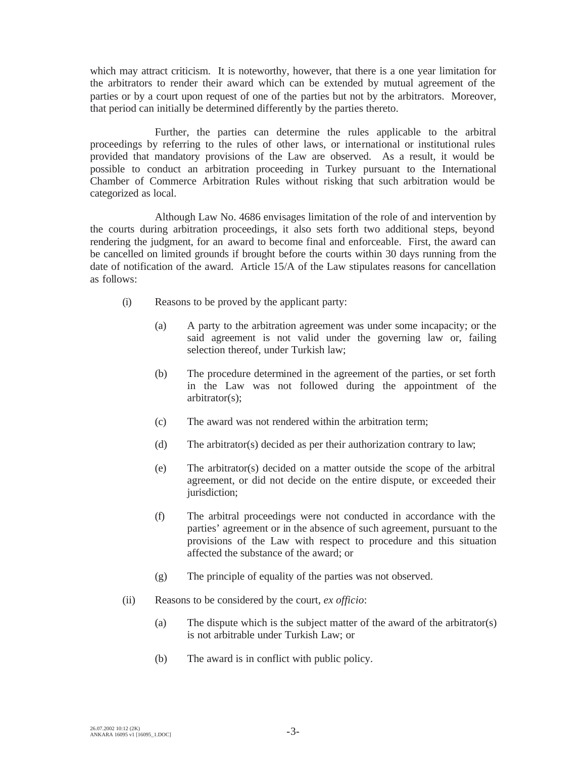which may attract criticism. It is noteworthy, however, that there is a one year limitation for the arbitrators to render their award which can be extended by mutual agreement of the parties or by a court upon request of one of the parties but not by the arbitrators. Moreover, that period can initially be determined differently by the parties thereto.

Further, the parties can determine the rules applicable to the arbitral proceedings by referring to the rules of other laws, or international or institutional rules provided that mandatory provisions of the Law are observed. As a result, it would be possible to conduct an arbitration proceeding in Turkey pursuant to the International Chamber of Commerce Arbitration Rules without risking that such arbitration would be categorized as local.

Although Law No. 4686 envisages limitation of the role of and intervention by the courts during arbitration proceedings, it also sets forth two additional steps, beyond rendering the judgment, for an award to become final and enforceable. First, the award can be cancelled on limited grounds if brought before the courts within 30 days running from the date of notification of the award. Article 15/A of the Law stipulates reasons for cancellation as follows:

- (i) Reasons to be proved by the applicant party:
	- (a) A party to the arbitration agreement was under some incapacity; or the said agreement is not valid under the governing law or, failing selection thereof, under Turkish law;
	- (b) The procedure determined in the agreement of the parties, or set forth in the Law was not followed during the appointment of the arbitrator(s);
	- (c) The award was not rendered within the arbitration term;
	- (d) The arbitrator(s) decided as per their authorization contrary to law;
	- (e) The arbitrator(s) decided on a matter outside the scope of the arbitral agreement, or did not decide on the entire dispute, or exceeded their jurisdiction;
	- (f) The arbitral proceedings were not conducted in accordance with the parties' agreement or in the absence of such agreement, pursuant to the provisions of the Law with respect to procedure and this situation affected the substance of the award; or
	- (g) The principle of equality of the parties was not observed.
- (ii) Reasons to be considered by the court, *ex officio*:
	- (a) The dispute which is the subject matter of the award of the arbitrator(s) is not arbitrable under Turkish Law; or
	- (b) The award is in conflict with public policy.